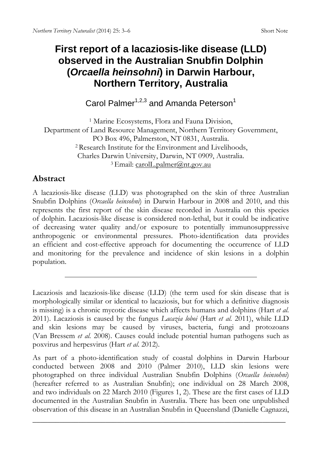## **First report of a lacaziosis-like disease (LLD) observed in the Australian Snubfin Dolphin (***Orcaella heinsohni***) in Darwin Harbour, Northern Territory, Australia**

Carol Palmer<sup>1,2,3</sup> and Amanda Peterson<sup>1</sup>

1 Marine Ecosystems, Flora and Fauna Division, Department of Land Resource Management, Northern Territory Government, PO Box 496, Palmerston, NT 0831, Australia. 2 Research Institute for the Environment and Livelihoods, Charles Darwin University, Darwin, NT 0909, Australia. 3 Email: carolL.palmer@nt.gov.au

## **Abstract**

A lacaziosis-like disease (LLD) was photographed on the skin of three Australian Snubfin Dolphins (*Orcaella heinsohni*) in Darwin Harbour in 2008 and 2010, and this represents the first report of the skin disease recorded in Australia on this species of dolphin. Lacaziosis-like disease is considered non-lethal, but it could be indicative of decreasing water quality and/or exposure to potentially immunosuppressive anthropogenic or environmental pressures. Photo-identification data provides an efficient and cost-effective approach for documenting the occurrence of LLD and monitoring for the prevalence and incidence of skin lesions in a dolphin population.

 $\overline{\phantom{a}}$  , and the contract of the contract of the contract of the contract of the contract of the contract of the contract of the contract of the contract of the contract of the contract of the contract of the contrac

Lacaziosis and lacaziosis-like disease (LLD) (the term used for skin disease that is morphologically similar or identical to lacaziosis, but for which a definitive diagnosis is missing) is a chronic mycotic disease which affects humans and dolphins (Hart *et al.* 2011). Lacaziosis is caused by the fungus *Lacazia loboi* (Hart *et al.* 2011), while LLD and skin lesions may be caused by viruses, bacteria, fungi and protozoans (Van Bressem *et al.* 2008). Causes could include potential human pathogens such as poxvirus and herpesvirus (Hart *et al*. 2012).

As part of a photo-identification study of coastal dolphins in Darwin Harbour conducted between 2008 and 2010 (Palmer 2010), LLD skin lesions were photographed on three individual Australian Snubfin Dolphins (*Orcaella heinsohni*) (hereafter referred to as Australian Snubfin); one individual on 28 March 2008, and two individuals on 22 March 2010 (Figures 1, 2). These are the first cases of LLD documented in the Australian Snubfin in Australia. There has been one unpublished observation of this disease in an Australian Snubfin in Queensland (Danielle Cagnazzi,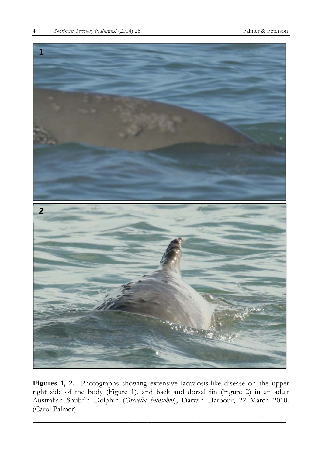

**Figures 1, 2.** Photographs showing extensive lacaziosis-like disease on the upper right side of the body (Figure 1), and back and dorsal fin (Figure 2) in an adult Australian Snubfin Dolphin (*Orcaella heinsohni*), Darwin Harbour, 22 March 2010. (Carol Palmer)

\_\_\_\_\_\_\_\_\_\_\_\_\_\_\_\_\_\_\_\_\_\_\_\_\_\_\_\_\_\_\_\_\_\_\_\_\_\_\_\_\_\_\_\_\_\_\_\_\_\_\_\_\_\_\_\_\_\_\_\_\_\_\_\_\_\_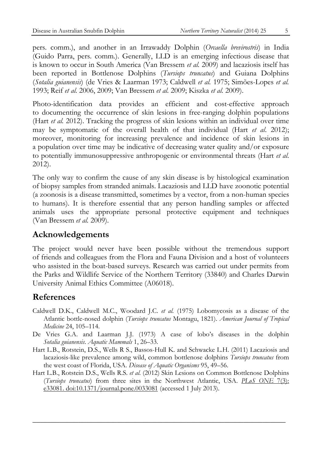pers. comm.), and another in an Irrawaddy Dolphin (*Orcaella brevirostris*) in India (Guido Parra, pers. comm.). Generally, LLD is an emerging infectious disease that is known to occur in South America (Van Bressem *et al.* 2009) and lacaziosis itself has been reported in Bottlenose Dolphins (*Tursiops truncatus*) and Guiana Dolphins (*Sotalia guianensis*) (de Vries & Laarman 1973; Caldwell *et al.* 1975; Simões-Lopes *et al.*  1993; Reif *et al.* 2006, 2009; Van Bressem *et al.* 2009; Kiszka *et al.* 2009).

Photo-identification data provides an efficient and cost-effective approach to documenting the occurrence of skin lesions in free-ranging dolphin populations (Hart *et al.* 2012). Tracking the progress of skin lesions within an individual over time may be symptomatic of the overall health of that individual (Hart *et al*. 2012); moreover, monitoring for increasing prevalence and incidence of skin lesions in a population over time may be indicative of decreasing water quality and/or exposure to potentially immunosuppressive anthropogenic or environmental threats (Hart *et al*. 2012).

The only way to confirm the cause of any skin disease is by histological examination of biopsy samples from stranded animals. Lacaziosis and LLD have zoonotic potential (a zoonosis is a disease transmitted, sometimes by a vector, from a non-human species to humans). It is therefore essential that any person handling samples or affected animals uses the appropriate personal protective equipment and techniques (Van Bressem *et al.* 2009).

## **Acknowledgements**

The project would never have been possible without the tremendous support of friends and colleagues from the Flora and Fauna Division and a host of volunteers who assisted in the boat-based surveys. Research was carried out under permits from the Parks and Wildlife Service of the Northern Territory (33840) and Charles Darwin University Animal Ethics Committee (A06018).

## **References**

- Caldwell D.K., Caldwell M.C., Woodard J.C. *et al.* (1975) Lobomycosis as a disease of the Atlantic bottle-nosed dolphin (*Tursiops truncatus* Montagu, 1821). *American Journal of Tropical Medicine* 24, 105–114.
- De Vries G.A. and Laarman J.J. (1973) A case of lobo's diseases in the dolphin *Sotalia guianensis*. *Aquatic Mammals* 1, 26–33.
- Hart L.B., Rotstein, D.S., Wells R S., Bassos-Hull K. and Schwacke L.H. (2011) Lacaziosis and lacaziosis-like prevalence among wild, common bottlenose dolphins *Tursiops truncatus* from the west coast of Florida, USA. *Disease of Aquatic Organisms* 95, 49–56.
- Hart L.B., Rotstein D.S., Wells R.S. *et al.* (2012) Skin Lesions on Common Bottlenose Dolphins (*Tursiops truncatus*) from three sites in the Northwest Atlantic, USA. *PLoS ONE* 7(3): e33081. doi:10.1371/journal.pone.0033081 (accessed 1 July 2013).

 $\overline{\phantom{a}}$  , and the contract of the contract of the contract of the contract of the contract of the contract of the contract of the contract of the contract of the contract of the contract of the contract of the contrac